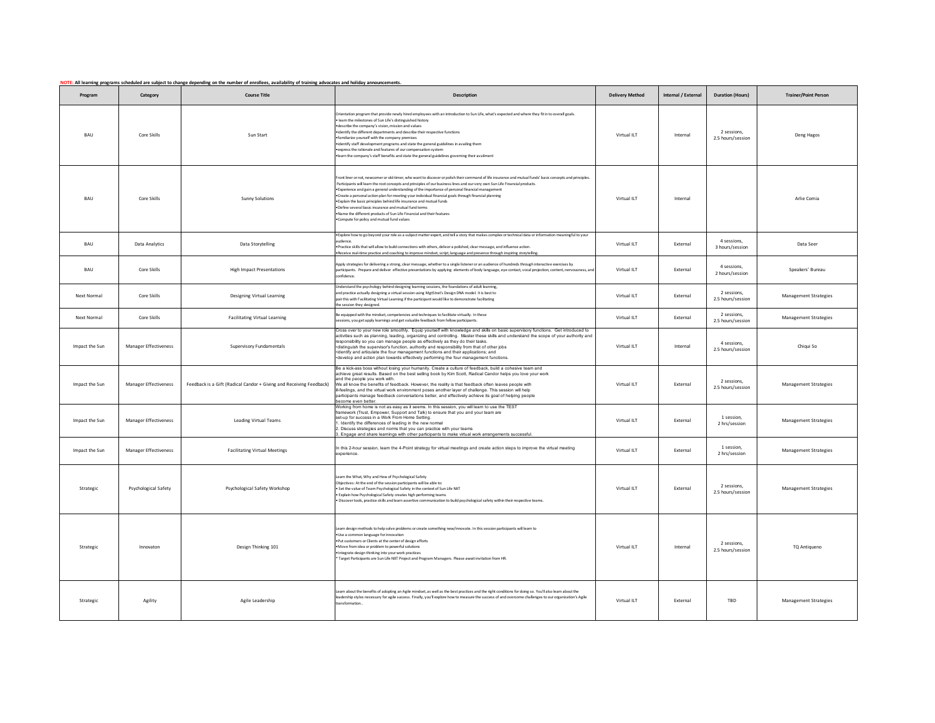|                    |                              | NOTE: All learning programs scheduled are subject to change depending on the number of enrollees, availability of training advocates and holiday announcements. |                                                                                                                                                                                                                                                                                                                                                                                                                                                                                                                                                                                                                                                                                                                                                                 |                        |                     |                                  |                              |
|--------------------|------------------------------|-----------------------------------------------------------------------------------------------------------------------------------------------------------------|-----------------------------------------------------------------------------------------------------------------------------------------------------------------------------------------------------------------------------------------------------------------------------------------------------------------------------------------------------------------------------------------------------------------------------------------------------------------------------------------------------------------------------------------------------------------------------------------------------------------------------------------------------------------------------------------------------------------------------------------------------------------|------------------------|---------------------|----------------------------------|------------------------------|
| Program            | Category                     | <b>Course Title</b>                                                                                                                                             | <b>Description</b>                                                                                                                                                                                                                                                                                                                                                                                                                                                                                                                                                                                                                                                                                                                                              | <b>Delivery Method</b> | Internal / External | <b>Duration (Hours)</b>          | <b>Trainer/Point Person</b>  |
| BAU                | Core Skills                  | Sun Start                                                                                                                                                       | Orientation program that provide newly hired employees with an introduction to Sun Life, what's expected and where they fit in to overall goals.<br>learn the milestones of Sun Life's distinguished history<br>describe the company's vision, mission and values<br>identify the different departments and describe their respective functions<br>familiarize vourself with the company premises<br>.identify staff development programs and state the general guidelines in availing them<br>express the rationale and features of our compensation system<br>eam the company's staff benefits and state the general guidelines governing their availment                                                                                                     | Virtual ILT            | Internal            | 2 sessions,<br>2.5 hours/session | Deng Hagos                   |
| <b>BAU</b>         | Core Skills                  | <b>Sunny Solutions</b>                                                                                                                                          | Front liner or not, newcomer or old-timer, who want to discover or polish their command of life insurance and mutual funds' basic concepts and principles.<br>Participants will learn the root concepts and principles of our business lines and our very own Sun Life Financial products<br>*Experience and gain a general understanding of the importance of personal financial management<br>Create a personal action plan for meeting your individual financial goals through financial planning<br>. Explain the basic principles behind life insurance and mutual funds.<br>. Define several basic insurance and mutual fund terms<br>Name the different products of Sun Life Financial and their features<br>. Compute for policy and mutual fund values | Virtual ILT            | Internal            |                                  | Arlie Comia                  |
| BAU                | Data Analytics               | Data Storytelling                                                                                                                                               | . Explore how to go beyond your role as a subject matter expert, and tell a story that makes complex or technical data or information meaningful to your<br>audience.<br>Practice skills that will allow to build connections with others, deliver a polished, clear message, and influence action.<br>Receive real-time practice and coaching to improve mindset, script, language and presence through inspiring storytelling.                                                                                                                                                                                                                                                                                                                                | Virtual ILT            | External            | 4 sessions,<br>3 hours/session   | Data Seer                    |
| BAU                | Core Skills                  | <b>High Impact Presentations</b>                                                                                                                                | Apply strategies for delivering a strong, clear message, whether to a single listener or an audience of hundreds through interactive exercises by<br>participants. Prepare and deliver effective presentations by applying elements of body language, eye contact, vocal projection, content, nervousness, and<br>confidence.                                                                                                                                                                                                                                                                                                                                                                                                                                   | Virtual ILT            | External            | 4 sessions.<br>2 hours/session   | Speakers' Bureau             |
| <b>Next Normal</b> | Core Skills                  | <b>Designing Virtual Learning</b>                                                                                                                               | Understand the psychology behind designing learning sessions, the foundations of adult learning,<br>and practice actually designing a virtual session using MgtStrat's Design DNA model. It is best to<br>pair this with Facilitating Virtual Learning if the participant would like to demonstrate facilitating<br>the session they designed.                                                                                                                                                                                                                                                                                                                                                                                                                  | Virtual ILT            | External            | 2 sessions,<br>2.5 hours/session | <b>Management Strategies</b> |
| Next Normal        | Core Skills                  | <b>Facilitating Virtual Learning</b>                                                                                                                            | Be equipped with the mindset, competencies and techniques to facilitate virtually. In these<br>essions, you get apply learnings and get valuable feedback from fellow participants                                                                                                                                                                                                                                                                                                                                                                                                                                                                                                                                                                              | Virtual ILT            | External            | 2 sessions,<br>2.5 hours/session | <b>Management Strategies</b> |
| Impact the Sun     | <b>Manager Effectiveness</b> | Supervisory Fundamentals                                                                                                                                        | Cross over to your new role smoothly. Equip yourself with knowledge and skills on basic supervisory functions. Get introduced to<br>activities such as planning, leading, organizing and controlling. Master these skills and understand the scope of your authority and<br>responsibility so you can manage people as effectively as they do their tasks.<br>·distinguish the supervisor's function, authority and responsibility from that of other jobs<br>·identify and articulate the four management functions and their applications; and<br>develop and action plan towards effectively performing the four management functions.                                                                                                                       | Virtual ILT            | Internal            | 4 sessions,<br>2.5 hours/session | Chiqui So                    |
| Impact the Sun     | <b>Manager Effectiveness</b> | Feedback is a Gift (Radical Candor + Giving and Receiving Feedback)                                                                                             | Be a kick-ass boss without losing your humanity. Create a culture of feedback, build a cohesive team and<br>achieve great results. Based on the best selling book by Kim Scott, Radical Candor helps you love your work<br>and the people you work with.<br>We all know the benefits of feedback. However, the reality is that feedback often leaves people with<br>I-feelings, and the virtual work environment poses another layer of challenge. This session will help<br>participants manage feedback conversations better, and effectively achieve its goal of helping people<br>become even better                                                                                                                                                        | Virtual ILT            | External            | 2 sessions,<br>2.5 hours/session | Management Strategies        |
| Impact the Sun     | <b>Manager Effectiveness</b> | <b>Leading Virtual Teams</b>                                                                                                                                    | Working from home is not as easy as it seems. In this session, you will learn to use the TEST<br>amework (Trust, Empower, Support and Talk) to ensure that you and your team are<br>set-up for success in a Work From Home Setting.<br>. Identify the differences of leading in the new normal<br>2. Discuss strategies and norms that you can practice with your teams<br>3. Engage and share learnings with other participants to make virtual work arrangements successful.                                                                                                                                                                                                                                                                                  | Virtual ILT            | External            | 1 session,<br>2 hrs/session      | Management Strategies        |
| Impact the Sun     | Manager Effectiveness        | <b>Facilitating Virtual Meetings</b>                                                                                                                            | In this 2-hour session, learn the 4-Point strategy for virtual meetings and create action steps to improve the virtual meeting<br>experience                                                                                                                                                                                                                                                                                                                                                                                                                                                                                                                                                                                                                    | Virtual ILT            | External            | 1 session.<br>2 hrs/session      | <b>Management Strategies</b> |
| Strategic          | Psychological Safety         | Psychological Safety Workshop                                                                                                                                   | Learn the What, Why and How of Psychological Safety<br>Objectives: At the end of the session participants will be able to:<br>Set the value of Team Psychological Safety in the context of Sun Life NXT<br>Explain how Psychological Safety creates high performing teams<br>Discover tools, practice skills and leam assertive communication to build psychological safety within their respective teams.                                                                                                                                                                                                                                                                                                                                                      | Virtual ILT            | External            | 2 sessions.<br>2.5 hours/session | Management Strategies        |
| Strategic          | Innovaton                    | Design Thinking 101                                                                                                                                             | Learn design methods to help solve problems or create something new/innovate. In this session participants will learn to<br>Use a common language for innovatio<br>Put customers or Clients at the center of design efforts<br>Move from idea or problem to powerful solutions<br>Integrate design thinking into your work practices<br>Target Participants are Sun Life NXT Project and Program Managers. Please await invitation from HR.                                                                                                                                                                                                                                                                                                                     | Virtual ILT            | Internal            | 2 sessions.<br>2.5 hours/session | TQ Antiqueno                 |
| Strategic          | Agility                      | Agile Leadership                                                                                                                                                | Learn about the benefits of adopting an Agile mindset, as well as the best practices and the right conditions for doing so. You'll also learn about the<br>eadership styles necessary for agile success. Finally, you'll explore how to measure the success of and overcome challenges to our organization's Agile<br>transformation.                                                                                                                                                                                                                                                                                                                                                                                                                           | Virtual ILT            | External            | TBD                              | <b>Management Strategies</b> |